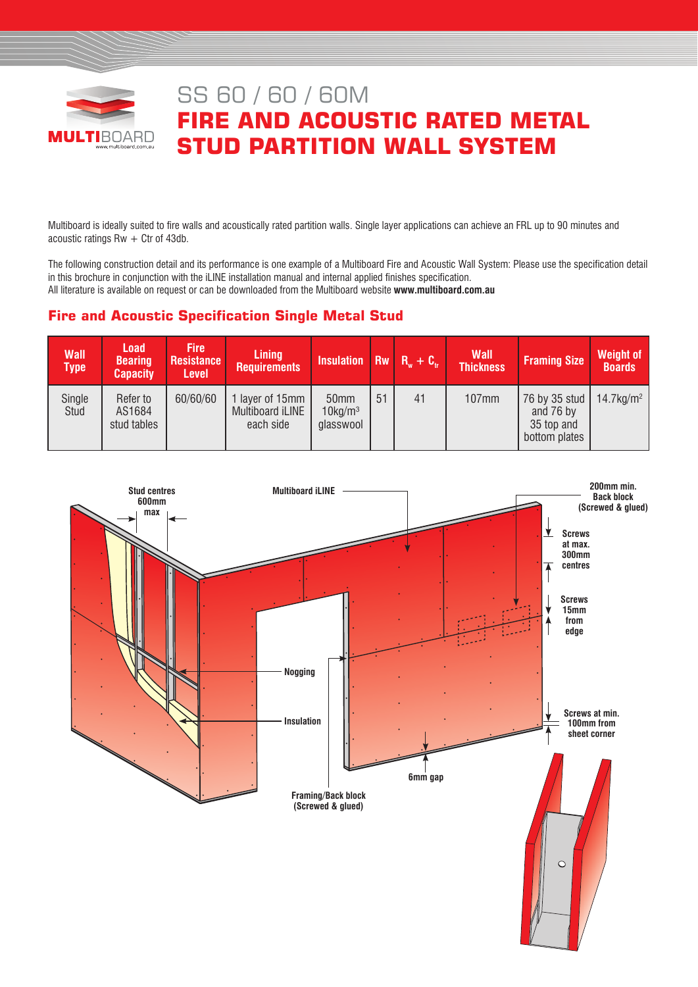

# SS 60 / 60 / 60M **FIRE AND ACOUSTIC RATED METAL STUD PARTITION WALL SYSTEM**

Multiboard is ideally suited to fire walls and acoustically rated partition walls. Single layer applications can achieve an FRL up to 90 minutes and acoustic ratings  $Rw + C$ tr of 43db.

The following construction detail and its performance is one example of a Multiboard Fire and Acoustic Wall System: Please use the specification detail in this brochure in conjunction with the iLINE installation manual and internal applied finishes specification. All literature is available on request or can be downloaded from the Multiboard website **www.multiboard.com.au**

# **Fire and Acoustic Specification Single Metal Stud**

| <b>Wall</b><br><b>Type</b> | <b>Load</b><br><b>Bearing</b><br><b>Capacity</b> | <b>Fire</b><br><b>Resistance</b><br><b>Level</b> | <b>Lining</b><br><b>Requirements</b>             | Insulation $\overline{Rw}$ $\overline{R_w}$ + $\overline{C_w}$ |    |    | <b>Wall</b><br><b>Thickness</b> | <b>Framing Size</b>                                       | <b>Weight of</b><br><b>Boards</b> |
|----------------------------|--------------------------------------------------|--------------------------------------------------|--------------------------------------------------|----------------------------------------------------------------|----|----|---------------------------------|-----------------------------------------------------------|-----------------------------------|
| Single<br>Stud             | Refer to<br>AS1684<br>stud tables                | 60/60/60                                         | 1 layer of 15mm<br>Multiboard iLINE<br>each side | 50mm<br>$10$ kg/m <sup>3</sup><br>glasswool                    | 51 | 41 | 107mm                           | 76 by 35 stud<br>and 76 by<br>35 top and<br>bottom plates | $14.7$ kg/m <sup>2</sup>          |